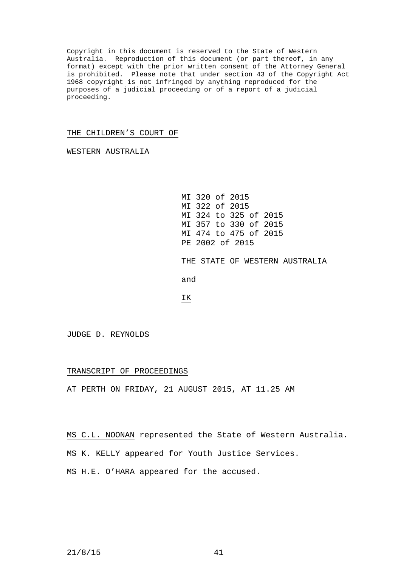Copyright in this document is reserved to the State of Western Australia. Reproduction of this document (or part thereof, in any format) except with the prior written consent of the Attorney General is prohibited. Please note that under section 43 of the Copyright Act 1968 copyright is not infringed by anything reproduced for the purposes of a judicial proceeding or of a report of a judicial proceeding.

## THE CHILDREN'S COURT OF

WESTERN AUSTRALIA

MI 320 of 2015 MI 322 of 2015 MI 324 to 325 of 2015 MI 357 to 330 of 2015 MI 474 to 475 of 2015 PE 2002 of 2015

THE STATE OF WESTERN AUSTRALIA

and

IK

JUDGE D. REYNOLDS

TRANSCRIPT OF PROCEEDINGS

AT PERTH ON FRIDAY, 21 AUGUST 2015, AT 11.25 AM

MS C.L. NOONAN represented the State of Western Australia.

MS K. KELLY appeared for Youth Justice Services.

MS H.E. O'HARA appeared for the accused.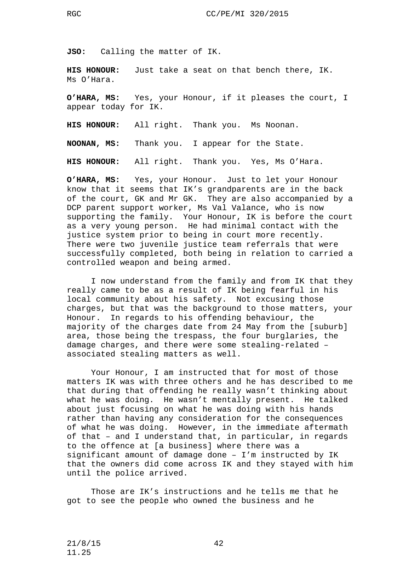**JSO:** Calling the matter of IK.

**HIS HONOUR:** Just take a seat on that bench there, IK. Ms O'Hara.

**O'HARA, MS:** Yes, your Honour, if it pleases the court, I appear today for IK.

**HIS HONOUR:** All right. Thank you. Ms Noonan.

**NOONAN, MS:** Thank you. I appear for the State.

**HIS HONOUR:** All right. Thank you. Yes, Ms O'Hara.

**O'HARA, MS:** Yes, your Honour. Just to let your Honour know that it seems that IK's grandparents are in the back of the court, GK and Mr GK. They are also accompanied by a DCP parent support worker, Ms Val Valance, who is now supporting the family. Your Honour, IK is before the court as a very young person. He had minimal contact with the justice system prior to being in court more recently. There were two juvenile justice team referrals that were successfully completed, both being in relation to carried a controlled weapon and being armed.

I now understand from the family and from IK that they really came to be as a result of IK being fearful in his local community about his safety. Not excusing those charges, but that was the background to those matters, your Honour. In regards to his offending behaviour, the majority of the charges date from 24 May from the [suburb] area, those being the trespass, the four burglaries, the damage charges, and there were some stealing-related – associated stealing matters as well.

Your Honour, I am instructed that for most of those matters IK was with three others and he has described to me that during that offending he really wasn't thinking about<br>what he was doing. He wasn't mentally present. He talked what he was doing. He wasn't mentally present. about just focusing on what he was doing with his hands rather than having any consideration for the consequences of what he was doing. However, in the immediate aftermath of that – and I understand that, in particular, in regards to the offence at [a business] where there was a significant amount of damage done – I'm instructed by IK that the owners did come across IK and they stayed with him until the police arrived.

Those are IK's instructions and he tells me that he got to see the people who owned the business and he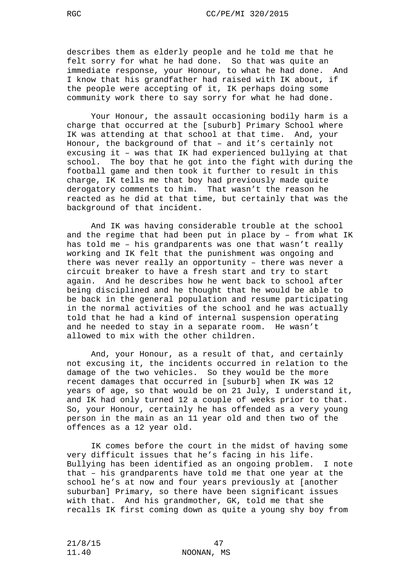describes them as elderly people and he told me that he felt sorry for what he had done. So that was quite an immediate response, your Honour, to what he had done. And I know that his grandfather had raised with IK about, if the people were accepting of it, IK perhaps doing some community work there to say sorry for what he had done.

Your Honour, the assault occasioning bodily harm is a charge that occurred at the [suburb] Primary School where IK was attending at that school at that time. And, your Honour, the background of that – and it's certainly not excusing it – was that IK had experienced bullying at that school. The boy that he got into the fight with during the football game and then took it further to result in this charge, IK tells me that boy had previously made quite derogatory comments to him. That wasn't the reason he reacted as he did at that time, but certainly that was the background of that incident.

And IK was having considerable trouble at the school and the regime that had been put in place by – from what IK has told me – his grandparents was one that wasn't really working and IK felt that the punishment was ongoing and there was never really an opportunity – there was never a circuit breaker to have a fresh start and try to start again. And he describes how he went back to school after being disciplined and he thought that he would be able to be back in the general population and resume participating in the normal activities of the school and he was actually told that he had a kind of internal suspension operating and he needed to stay in a separate room. He wasn't allowed to mix with the other children.

And, your Honour, as a result of that, and certainly not excusing it, the incidents occurred in relation to the damage of the two vehicles. So they would be the more recent damages that occurred in [suburb] when IK was 12 years of age, so that would be on 21 July, I understand it, and IK had only turned 12 a couple of weeks prior to that. So, your Honour, certainly he has offended as a very young person in the main as an 11 year old and then two of the offences as a 12 year old.

IK comes before the court in the midst of having some very difficult issues that he's facing in his life. Bullying has been identified as an ongoing problem. I note that – his grandparents have told me that one year at the school he's at now and four years previously at [another suburban] Primary, so there have been significant issues with that. And his grandmother, GK, told me that she recalls IK first coming down as quite a young shy boy from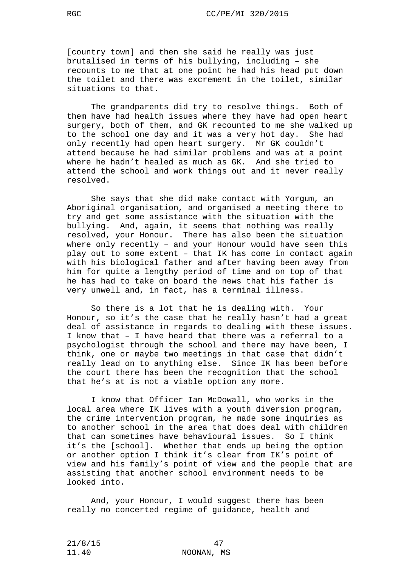[country town] and then she said he really was just brutalised in terms of his bullying, including – she recounts to me that at one point he had his head put down the toilet and there was excrement in the toilet, similar situations to that.

The grandparents did try to resolve things. Both of them have had health issues where they have had open heart surgery, both of them, and GK recounted to me she walked up to the school one day and it was a very hot day. She had only recently had open heart surgery. Mr GK couldn't attend because he had similar problems and was at a point where he hadn't healed as much as GK. And she tried to attend the school and work things out and it never really resolved.

She says that she did make contact with Yorgum, an Aboriginal organisation, and organised a meeting there to try and get some assistance with the situation with the bullying. And, again, it seems that nothing was really resolved, your Honour. There has also been the situation where only recently – and your Honour would have seen this play out to some extent – that IK has come in contact again with his biological father and after having been away from him for quite a lengthy period of time and on top of that he has had to take on board the news that his father is very unwell and, in fact, has a terminal illness.

So there is a lot that he is dealing with. Your Honour, so it's the case that he really hasn't had a great deal of assistance in regards to dealing with these issues. I know that – I have heard that there was a referral to a psychologist through the school and there may have been, I think, one or maybe two meetings in that case that didn't really lead on to anything else. Since IK has been before the court there has been the recognition that the school that he's at is not a viable option any more.

I know that Officer Ian McDowall, who works in the local area where IK lives with a youth diversion program, the crime intervention program, he made some inquiries as to another school in the area that does deal with children that can sometimes have behavioural issues. So I think it's the [school]. Whether that ends up being the option or another option I think it's clear from IK's point of view and his family's point of view and the people that are assisting that another school environment needs to be looked into.

And, your Honour, I would suggest there has been really no concerted regime of guidance, health and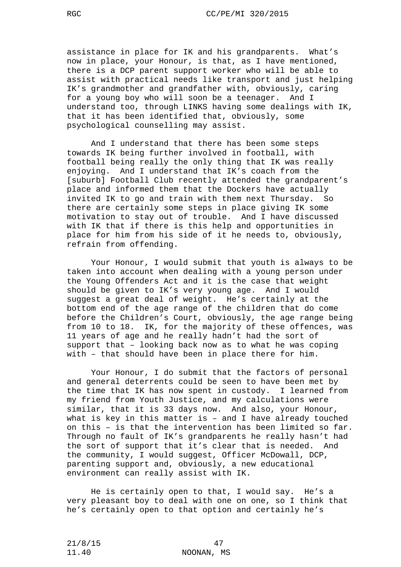assistance in place for IK and his grandparents. What's now in place, your Honour, is that, as I have mentioned, there is a DCP parent support worker who will be able to assist with practical needs like transport and just helping IK's grandmother and grandfather with, obviously, caring for a young boy who will soon be a teenager. And I understand too, through LINKS having some dealings with IK, that it has been identified that, obviously, some psychological counselling may assist.

And I understand that there has been some steps towards IK being further involved in football, with football being really the only thing that IK was really enjoying. And I understand that IK's coach from the [suburb] Football Club recently attended the grandparent's place and informed them that the Dockers have actually invited IK to go and train with them next Thursday. So there are certainly some steps in place giving IK some motivation to stay out of trouble. And I have discussed with IK that if there is this help and opportunities in place for him from his side of it he needs to, obviously, refrain from offending.

Your Honour, I would submit that youth is always to be taken into account when dealing with a young person under the Young Offenders Act and it is the case that weight should be given to IK's very young age. And I would suggest a great deal of weight. He's certainly at the bottom end of the age range of the children that do come before the Children's Court, obviously, the age range being from 10 to 18. IK, for the majority of these offences, was 11 years of age and he really hadn't had the sort of support that – looking back now as to what he was coping with – that should have been in place there for him.

Your Honour, I do submit that the factors of personal and general deterrents could be seen to have been met by the time that IK has now spent in custody. I learned from my friend from Youth Justice, and my calculations were similar, that it is 33 days now. And also, your Honour, what is key in this matter is – and I have already touched on this – is that the intervention has been limited so far. Through no fault of IK's grandparents he really hasn't had<br>the sort of support that it's clear that is needed. And the sort of support that it's clear that is needed. the community, I would suggest, Officer McDowall, DCP, parenting support and, obviously, a new educational environment can really assist with IK.

He is certainly open to that, I would say. He's a very pleasant boy to deal with one on one, so I think that he's certainly open to that option and certainly he's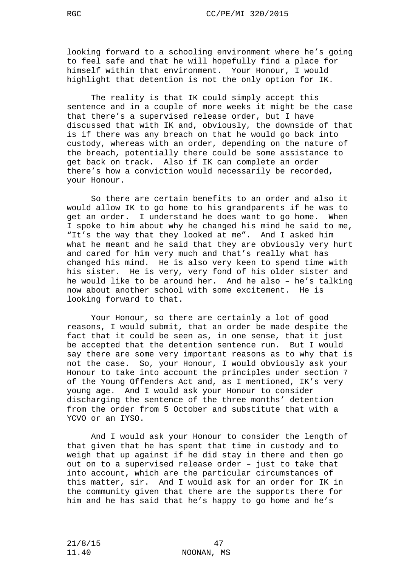looking forward to a schooling environment where he's going to feel safe and that he will hopefully find a place for himself within that environment. Your Honour, I would highlight that detention is not the only option for IK.

The reality is that IK could simply accept this sentence and in a couple of more weeks it might be the case that there's a supervised release order, but I have discussed that with IK and, obviously, the downside of that is if there was any breach on that he would go back into custody, whereas with an order, depending on the nature of the breach, potentially there could be some assistance to get back on track. Also if IK can complete an order there's how a conviction would necessarily be recorded, your Honour.

So there are certain benefits to an order and also it would allow IK to go home to his grandparents if he was to get an order. I understand he does want to go home. When I spoke to him about why he changed his mind he said to me, "It's the way that they looked at me". And I asked him what he meant and he said that they are obviously very hurt and cared for him very much and that's really what has changed his mind. He is also very keen to spend time with his sister. He is very, very fond of his older sister and he would like to be around her. And he also – he's talking now about another school with some excitement. He is looking forward to that.

Your Honour, so there are certainly a lot of good reasons, I would submit, that an order be made despite the fact that it could be seen as, in one sense, that it just be accepted that the detention sentence run. But I would say there are some very important reasons as to why that is not the case. So, your Honour, I would obviously ask your Honour to take into account the principles under section 7 of the Young Offenders Act and, as I mentioned, IK's very young age. And I would ask your Honour to consider discharging the sentence of the three months' detention from the order from 5 October and substitute that with a YCVO or an IYSO.

And I would ask your Honour to consider the length of that given that he has spent that time in custody and to weigh that up against if he did stay in there and then go out on to a supervised release order – just to take that into account, which are the particular circumstances of this matter, sir. And I would ask for an order for IK in the community given that there are the supports there for him and he has said that he's happy to go home and he's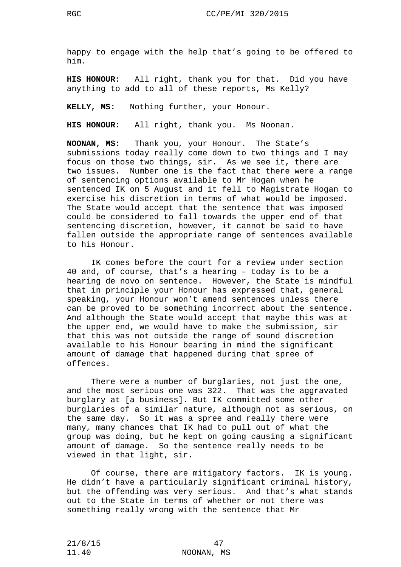happy to engage with the help that's going to be offered to him.

**HIS HONOUR:** All right, thank you for that. Did you have anything to add to all of these reports, Ms Kelly?

**KELLY, MS:** Nothing further, your Honour.

**HIS HONOUR:** All right, thank you. Ms Noonan.

**NOONAN, MS:** Thank you, your Honour. The State's submissions today really come down to two things and I may focus on those two things, sir. As we see it, there are two issues. Number one is the fact that there were a range of sentencing options available to Mr Hogan when he sentenced IK on 5 August and it fell to Magistrate Hogan to exercise his discretion in terms of what would be imposed. The State would accept that the sentence that was imposed could be considered to fall towards the upper end of that sentencing discretion, however, it cannot be said to have fallen outside the appropriate range of sentences available to his Honour.

IK comes before the court for a review under section 40 and, of course, that's a hearing – today is to be a hearing de novo on sentence. However, the State is mindful that in principle your Honour has expressed that, general speaking, your Honour won't amend sentences unless there can be proved to be something incorrect about the sentence. And although the State would accept that maybe this was at the upper end, we would have to make the submission, sir that this was not outside the range of sound discretion available to his Honour bearing in mind the significant amount of damage that happened during that spree of offences.

There were a number of burglaries, not just the one, and the most serious one was 322. That was the aggravated burglary at [a business]. But IK committed some other burglaries of a similar nature, although not as serious, on the same day. So it was a spree and really there were many, many chances that IK had to pull out of what the group was doing, but he kept on going causing a significant amount of damage. So the sentence really needs to be viewed in that light, sir.

Of course, there are mitigatory factors. IK is young. He didn't have a particularly significant criminal history, but the offending was very serious. And that's what stands out to the State in terms of whether or not there was something really wrong with the sentence that Mr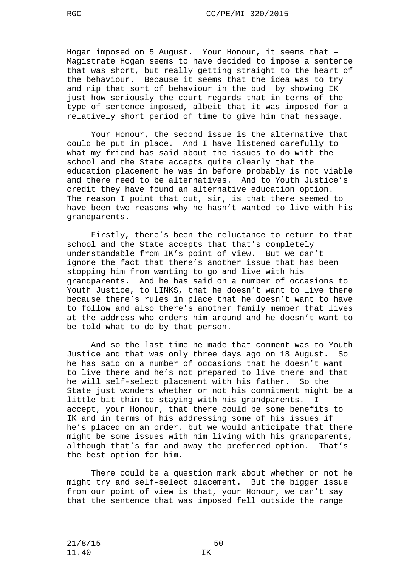Hogan imposed on 5 August. Your Honour, it seems that – Magistrate Hogan seems to have decided to impose a sentence that was short, but really getting straight to the heart of the behaviour. Because it seems that the idea was to try and nip that sort of behaviour in the bud by showing IK just how seriously the court regards that in terms of the type of sentence imposed, albeit that it was imposed for a relatively short period of time to give him that message.

Your Honour, the second issue is the alternative that could be put in place. And I have listened carefully to what my friend has said about the issues to do with the school and the State accepts quite clearly that the education placement he was in before probably is not viable and there need to be alternatives. And to Youth Justice's credit they have found an alternative education option. The reason I point that out, sir, is that there seemed to have been two reasons why he hasn't wanted to live with his grandparents.

Firstly, there's been the reluctance to return to that school and the State accepts that that's completely understandable from IK's point of view. But we can't ignore the fact that there's another issue that has been stopping him from wanting to go and live with his grandparents. And he has said on a number of occasions to Youth Justice, to LINKS, that he doesn't want to live there because there's rules in place that he doesn't want to have to follow and also there's another family member that lives at the address who orders him around and he doesn't want to be told what to do by that person.

And so the last time he made that comment was to Youth Justice and that was only three days ago on 18 August. So he has said on a number of occasions that he doesn't want to live there and he's not prepared to live there and that he will self-select placement with his father. So the State just wonders whether or not his commitment might be a little bit thin to staying with his grandparents. accept, your Honour, that there could be some benefits to IK and in terms of his addressing some of his issues if he's placed on an order, but we would anticipate that there might be some issues with him living with his grandparents,<br>although that's far and away the preferred option. That's although that's far and away the preferred option. the best option for him.

There could be a question mark about whether or not he might try and self-select placement. But the bigger issue from our point of view is that, your Honour, we can't say that the sentence that was imposed fell outside the range

21/8/15 50 11.40 IK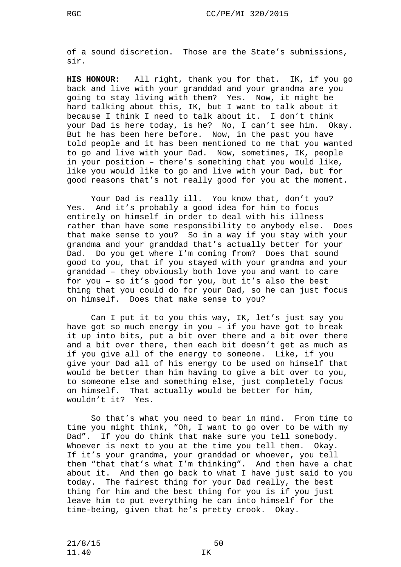**HIS HONOUR:** All right, thank you for that. IK, if you go back and live with your granddad and your grandma are you going to stay living with them? Yes. Now, it might be hard talking about this, IK, but I want to talk about it because I think I need to talk about it. I don't think your Dad is here today, is he? No, I can't see him. Okay. But he has been here before. Now, in the past you have told people and it has been mentioned to me that you wanted to go and live with your Dad. Now, sometimes, IK, people in your position – there's something that you would like, like you would like to go and live with your Dad, but for good reasons that's not really good for you at the moment.

Your Dad is really ill. You know that, don't you? Yes. And it's probably a good idea for him to focus entirely on himself in order to deal with his illness rather than have some responsibility to anybody else. Does that make sense to you? So in a way if you stay with your grandma and your granddad that's actually better for your Dad. Do you get where I'm coming from? Does that sound good to you, that if you stayed with your grandma and your granddad – they obviously both love you and want to care for you – so it's good for you, but it's also the best thing that you could do for your Dad, so he can just focus on himself. Does that make sense to you?

Can I put it to you this way, IK, let's just say you have got so much energy in you – if you have got to break it up into bits, put a bit over there and a bit over there and a bit over there, then each bit doesn't get as much as if you give all of the energy to someone. Like, if you give your Dad all of his energy to be used on himself that would be better than him having to give a bit over to you, to someone else and something else, just completely focus on himself. That actually would be better for him, wouldn't it? Yes.

So that's what you need to bear in mind. From time to time you might think, "Oh, I want to go over to be with my Dad". If you do think that make sure you tell somebody. Whoever is next to you at the time you tell them. Okay. If it's your grandma, your granddad or whoever, you tell them "that that's what I'm thinking". And then have a chat about it. And then go back to what I have just said to you today. The fairest thing for your Dad really, the best thing for him and the best thing for you is if you just leave him to put everything he can into himself for the time-being, given that he's pretty crook. Okay.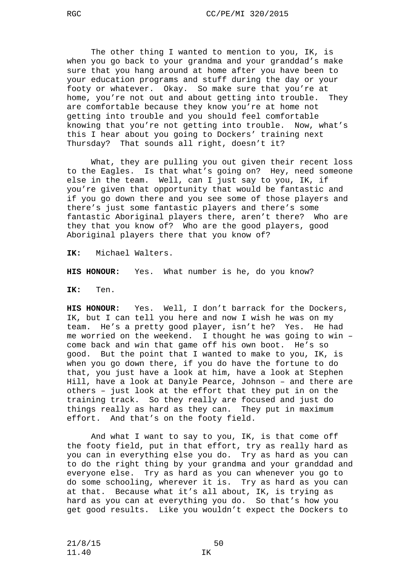The other thing I wanted to mention to you, IK, is when you go back to your grandma and your granddad's make sure that you hang around at home after you have been to your education programs and stuff during the day or your footy or whatever. Okay. So make sure that you're at home, you're not out and about getting into trouble. They are comfortable because they know you're at home not getting into trouble and you should feel comfortable knowing that you're not getting into trouble. Now, what's this I hear about you going to Dockers' training next Thursday? That sounds all right, doesn't it?

What, they are pulling you out given their recent loss to the Eagles. Is that what's going on? Hey, need someone else in the team. Well, can I just say to you, IK, if you're given that opportunity that would be fantastic and if you go down there and you see some of those players and there's just some fantastic players and there's some fantastic Aboriginal players there, aren't there? Who are they that you know of? Who are the good players, good Aboriginal players there that you know of?

**IK:** Michael Walters.

**HIS HONOUR:** Yes. What number is he, do you know?

**IK:** Ten.

**HIS HONOUR:** Yes. Well, I don't barrack for the Dockers, IK, but I can tell you here and now I wish he was on my team. He's a pretty good player, isn't he? Yes. He had me worried on the weekend. I thought he was going to win – come back and win that game off his own boot. He's so good. But the point that I wanted to make to you, IK, is when you go down there, if you do have the fortune to do that, you just have a look at him, have a look at Stephen Hill, have a look at Danyle Pearce, Johnson – and there are others – just look at the effort that they put in on the training track. So they really are focused and just do things really as hard as they can. They put in maximum effort. And that's on the footy field.

And what I want to say to you, IK, is that come off the footy field, put in that effort, try as really hard as you can in everything else you do. Try as hard as you can to do the right thing by your grandma and your granddad and everyone else. Try as hard as you can whenever you go to do some schooling, wherever it is. Try as hard as you can at that. Because what it's all about, IK, is trying as hard as you can at everything you do. So that's how you get good results. Like you wouldn't expect the Dockers to

21/8/15 50 11.40 IK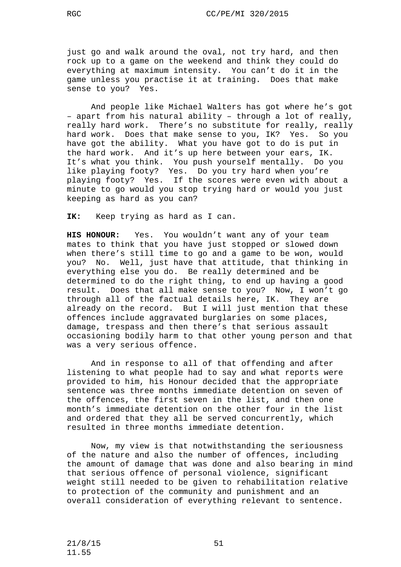just go and walk around the oval, not try hard, and then rock up to a game on the weekend and think they could do everything at maximum intensity. You can't do it in the game unless you practise it at training. Does that make sense to you? Yes.

And people like Michael Walters has got where he's got – apart from his natural ability – through a lot of really, really hard work. There's no substitute for really, really hard work. Does that make sense to you, IK? Yes. So you have got the ability. What you have got to do is put in the hard work. And it's up here between your ears, IK. It's what you think. You push yourself mentally. Do you like playing footy? Yes. Do you try hard when you're playing footy? Yes. If the scores were even with about a minute to go would you stop trying hard or would you just keeping as hard as you can?

**IK:** Keep trying as hard as I can.

**HIS HONOUR:** Yes. You wouldn't want any of your team mates to think that you have just stopped or slowed down when there's still time to go and a game to be won, would you? No. Well, just have that attitude, that thinking in everything else you do. Be really determined and be determined to do the right thing, to end up having a good result. Does that all make sense to you? Now, I won't go through all of the factual details here, IK. They are already on the record. But I will just mention that these offences include aggravated burglaries on some places, damage, trespass and then there's that serious assault occasioning bodily harm to that other young person and that was a very serious offence.

And in response to all of that offending and after listening to what people had to say and what reports were provided to him, his Honour decided that the appropriate sentence was three months immediate detention on seven of the offences, the first seven in the list, and then one month's immediate detention on the other four in the list and ordered that they all be served concurrently, which resulted in three months immediate detention.

Now, my view is that notwithstanding the seriousness of the nature and also the number of offences, including the amount of damage that was done and also bearing in mind that serious offence of personal violence, significant weight still needed to be given to rehabilitation relative to protection of the community and punishment and an overall consideration of everything relevant to sentence.

21/8/15 51 11.55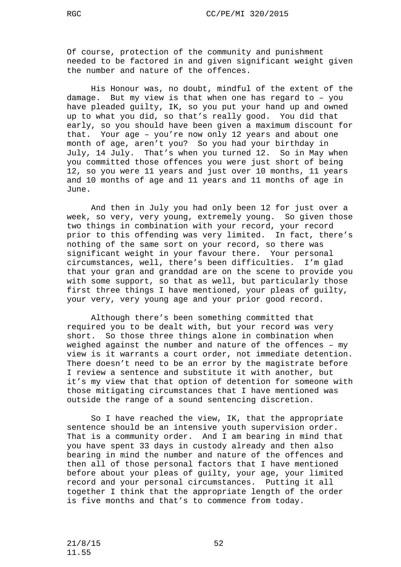Of course, protection of the community and punishment needed to be factored in and given significant weight given the number and nature of the offences.

His Honour was, no doubt, mindful of the extent of the damage. But my view is that when one has regard to – you have pleaded guilty, IK, so you put your hand up and owned up to what you did, so that's really good. You did that early, so you should have been given a maximum discount for that. Your age – you're now only 12 years and about one month of age, aren't you? So you had your birthday in July, 14 July. That's when you turned 12. So in May when you committed those offences you were just short of being 12, so you were 11 years and just over 10 months, 11 years and 10 months of age and 11 years and 11 months of age in June.

And then in July you had only been 12 for just over a week, so very, very young, extremely young. So given those two things in combination with your record, your record prior to this offending was very limited. In fact, there's nothing of the same sort on your record, so there was significant weight in your favour there. Your personal circumstances, well, there's been difficulties. I'm glad that your gran and granddad are on the scene to provide you with some support, so that as well, but particularly those first three things I have mentioned, your pleas of guilty, your very, very young age and your prior good record.

Although there's been something committed that required you to be dealt with, but your record was very short. So those three things alone in combination when weighed against the number and nature of the offences – my view is it warrants a court order, not immediate detention. There doesn't need to be an error by the magistrate before I review a sentence and substitute it with another, but it's my view that that option of detention for someone with those mitigating circumstances that I have mentioned was outside the range of a sound sentencing discretion.

So I have reached the view, IK, that the appropriate sentence should be an intensive youth supervision order. That is a community order. And I am bearing in mind that you have spent 33 days in custody already and then also bearing in mind the number and nature of the offences and then all of those personal factors that I have mentioned before about your pleas of guilty, your age, your limited record and your personal circumstances. Putting it all together I think that the appropriate length of the order is five months and that's to commence from today.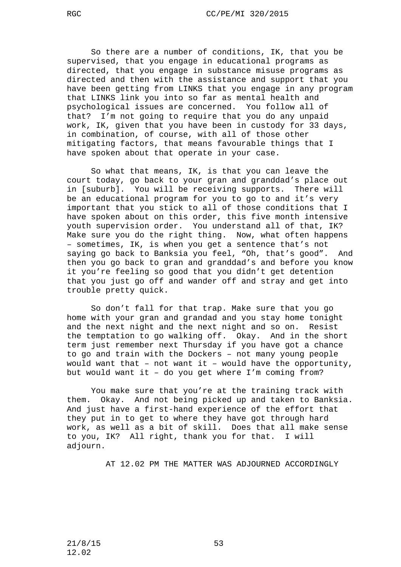So there are a number of conditions, IK, that you be supervised, that you engage in educational programs as directed, that you engage in substance misuse programs as directed and then with the assistance and support that you have been getting from LINKS that you engage in any program that LINKS link you into so far as mental health and psychological issues are concerned. You follow all of that? I'm not going to require that you do any unpaid work, IK, given that you have been in custody for 33 days, in combination, of course, with all of those other mitigating factors, that means favourable things that I have spoken about that operate in your case.

So what that means, IK, is that you can leave the court today, go back to your gran and granddad's place out in [suburb]. You will be receiving supports. There will be an educational program for you to go to and it's very important that you stick to all of those conditions that I have spoken about on this order, this five month intensive youth supervision order. You understand all of that, IK? Make sure you do the right thing. Now, what often happens – sometimes, IK, is when you get a sentence that's not saying go back to Banksia you feel, "Oh, that's good". And then you go back to gran and granddad's and before you know it you're feeling so good that you didn't get detention that you just go off and wander off and stray and get into trouble pretty quick.

So don't fall for that trap. Make sure that you go home with your gran and grandad and you stay home tonight and the next night and the next night and so on. Resist the temptation to go walking off. Okay. And in the short term just remember next Thursday if you have got a chance to go and train with the Dockers – not many young people would want that – not want it – would have the opportunity, but would want it – do you get where I'm coming from?

You make sure that you're at the training track with them. Okay. And not being picked up and taken to Banksia. And just have a first-hand experience of the effort that they put in to get to where they have got through hard work, as well as a bit of skill. Does that all make sense to you, IK? All right, thank you for that. I will adjourn.

AT 12.02 PM THE MATTER WAS ADJOURNED ACCORDINGLY